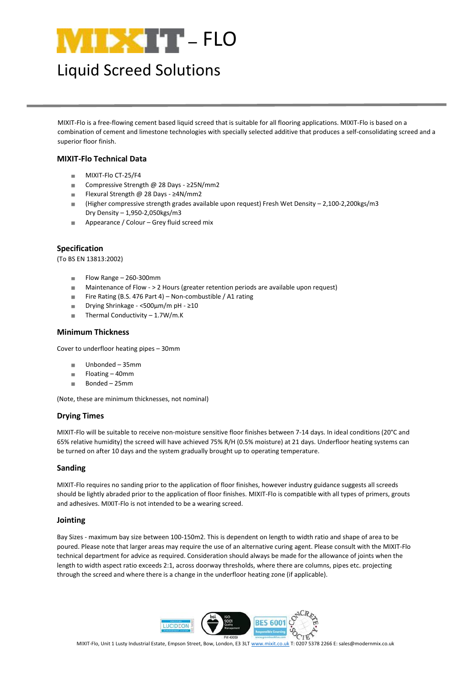

# Liquid Screed Solutions

MIXIT-Flo is a free-flowing cement based liquid screed that is suitable for all flooring applications. MIXIT-Flo is based on a combination of cement and limestone technologies with specially selected additive that produces a self-consolidating screed and a superior floor finish.

## **MIXIT-Flo Technical Data**

- MIXIT-Flo CT-25/F4  $\alpha$
- Compressive Strength @ 28 Days ≥25N/mm2 à.
- Flexural Strength @ 28 Days ≥4N/mm2 ×
- (Higher compressive strength grades available upon request) Fresh Wet Density 2,100-2,200kgs/m3 **In** Dry Density – 1,950-2,050kgs/m3
- Appearance / Colour Grey fluid screed mix  $\mathbf{u}$

## **Specification**

(To BS EN 13813:2002)

- Flow Range 260-300mm  $\mathbb{R}^2$
- ٠ Maintenance of Flow - > 2 Hours (greater retention periods are available upon request)
- Fire Rating (B.S. 476 Part 4) Non-combustible / A1 rating ٠
- Drying Shrinkage <500μm/m pH ≥10 j.
- Thermal Conductivity 1.7W/m.K i.

### **Minimum Thickness**

Cover to underfloor heating pipes – 30mm

- Unbonded 35mm  $\alpha$
- Floating 40mm  $\overline{\phantom{a}}$
- Bonded 25mm ×

(Note, these are minimum thicknesses, not nominal)

## **Drying Times**

MIXIT-Flo will be suitable to receive non-moisture sensitive floor finishes between 7-14 days. In ideal conditions (20°C and 65% relative humidity) the screed will have achieved 75% R/H (0.5% moisture) at 21 days. Underfloor heating systems can be turned on after 10 days and the system gradually brought up to operating temperature.

#### **Sanding**

MIXIT-Flo requires no sanding prior to the application of floor finishes, however industry guidance suggests all screeds should be lightly abraded prior to the application of floor finishes. MIXIT-Flo is compatible with all types of primers, grouts and adhesives. MIXIT-Flo is not intended to be a wearing screed.

#### **Jointing**

Bay Sizes - maximum bay size between 100-150m2. This is dependent on length to width ratio and shape of area to be poured. Please note that larger areas may require the use of an alternative curing agent. Please consult with the MIXIT-Flo technical department for advice as required. Consideration should always be made for the allowance of joints when the length to width aspect ratio exceeds 2:1, across doorway thresholds, where there are columns, pipes etc. projecting through the screed and where there is a change in the underfloor heating zone (if applicable).



MIXIT-Flo, Unit 1 Lusty Industrial Estate, Empson Street, Bow, London, E3 3LT [www.mixit.co.uk](http://www.mixit.co.uk/) T: 0207 5378 2266 E: sales@modernmix.co.uk